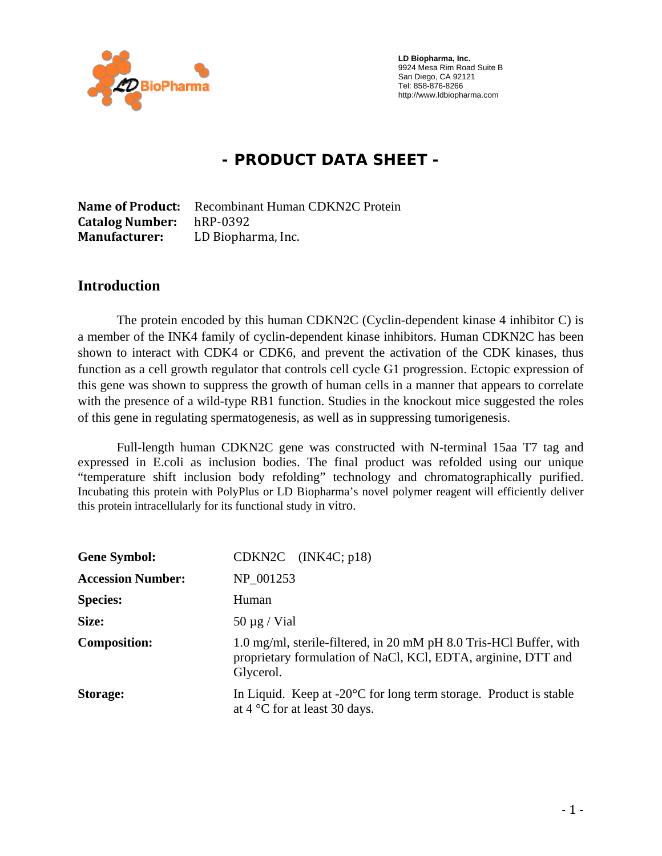

 **LD Biopharma, Inc.**  9924 Mesa Rim Road Suite B San Diego, CA 92121 Tel: 858-876-8266 http://www.ldbiopharma.com

# **- PRODUCT DATA SHEET -**

**Name of Product:** Recombinant Human CDKN2C Protein **Catalog Number:** hRP‐0392 **Manufacturer:** LD Biopharma, Inc.

#### **Introduction**

The protein encoded by this human CDKN2C (Cyclin-dependent kinase 4 inhibitor C) is a member of the INK4 family of cyclin-dependent kinase inhibitors. Human CDKN2C has been shown to interact with CDK4 or CDK6, and prevent the activation of the CDK kinases, thus function as a cell growth regulator that controls cell cycle G1 progression. Ectopic expression of this gene was shown to suppress the growth of human cells in a manner that appears to correlate with the presence of a wild-type RB1 function. Studies in the knockout mice suggested the roles of this gene in regulating spermatogenesis, as well as in suppressing tumorigenesis.

Full-length human CDKN2C gene was constructed with N-terminal 15aa T7 tag and expressed in E.coli as inclusion bodies. The final product was refolded using our unique "temperature shift inclusion body refolding" technology and chromatographically purified. Incubating this protein with PolyPlus or LD Biopharma's novel polymer reagent will efficiently deliver this protein intracellularly for its functional study in vitro.

| <b>Gene Symbol:</b>      | $CDKN2C$ $(INK4C; p18)$                                                                                                                          |
|--------------------------|--------------------------------------------------------------------------------------------------------------------------------------------------|
| <b>Accession Number:</b> | NP 001253                                                                                                                                        |
| <b>Species:</b>          | Human                                                                                                                                            |
| Size:                    | $50 \mu g$ / Vial                                                                                                                                |
| <b>Composition:</b>      | 1.0 mg/ml, sterile-filtered, in 20 mM pH 8.0 Tris-HCl Buffer, with<br>proprietary formulation of NaCl, KCl, EDTA, arginine, DTT and<br>Glycerol. |
| <b>Storage:</b>          | In Liquid. Keep at $-20^{\circ}$ C for long term storage. Product is stable<br>at $4^{\circ}$ C for at least 30 days.                            |